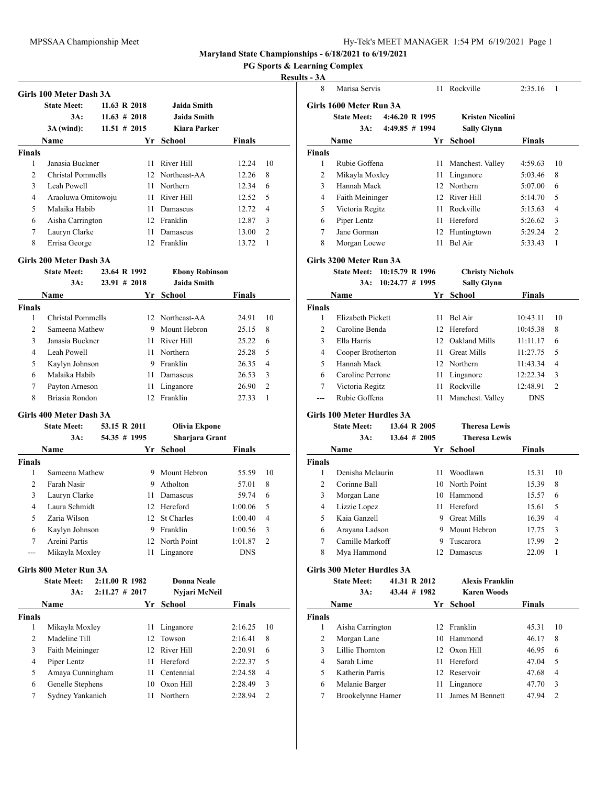#### **PG Sports & Learning Complex**

#### **Results - 3A**

|                | <b>State Meet:</b>                            |  | 11.63 R 2018                 | <b>Jaida Smith</b>                     |                |                |
|----------------|-----------------------------------------------|--|------------------------------|----------------------------------------|----------------|----------------|
|                | 3A:                                           |  | $11.63 \# 2018$              | <b>Jaida Smith</b>                     |                |                |
|                | $3A$ (wind):                                  |  | $11.51$ # 2015               | <b>Kiara Parker</b>                    |                |                |
|                | Name                                          |  | Yr                           | <b>School</b>                          | <b>Finals</b>  |                |
| <b>Finals</b>  |                                               |  |                              |                                        |                |                |
| 1              | Janasia Buckner                               |  | 11                           | River Hill                             | 12.24          | 10             |
| $\overline{2}$ | Christal Pommells                             |  |                              | 12 Northeast-AA                        | 12.26          | 8              |
| 3              | Leah Powell                                   |  | 11                           | Northern                               | 12.34          | 6              |
| 4              | Araoluwa Omitowoju                            |  | 11                           | River Hill                             | 12.52          | 5              |
| 5              | Malaika Habib                                 |  | 11                           | Damascus                               | 12.72          | 4              |
| 6              | Aisha Carrington                              |  |                              | 12 Franklin                            | 12.87          | 3              |
| 7              | Lauryn Clarke                                 |  | 11                           | Damascus                               | 13.00          | $\overline{2}$ |
| 8              | Errisa George                                 |  | 12                           | Franklin                               | 13.72          | 1              |
|                | Girls 200 Meter Dash 3A<br><b>State Meet:</b> |  | 23.64 R 1992                 | <b>Ebony Robinson</b>                  |                |                |
|                | 3A:                                           |  | $23.91 \# 2018$              | Jaida Smith                            |                |                |
|                |                                               |  |                              |                                        |                |                |
|                |                                               |  |                              |                                        |                |                |
|                | <b>Name</b>                                   |  | Yr                           | School                                 | Finals         |                |
| 1              |                                               |  | 12                           |                                        |                |                |
| <b>Finals</b>  | <b>Christal Pommells</b>                      |  | 9                            | Northeast-AA                           | 24.91          |                |
| 2<br>3         | Sameena Mathew<br>Janasia Buckner             |  | 11.                          | Mount Hebron<br>River Hill             | 25.15<br>25.22 | 8<br>6         |
| 4              | Leah Powell                                   |  | 11                           | Northern                               | 25.28          | 5              |
| 5              |                                               |  | 9                            | Franklin                               | 26.35          | 4              |
| 6              | Kaylyn Johnson<br>Malaika Habib               |  | 11                           | Damascus                               | 26.53          | 3              |
| 7              |                                               |  |                              |                                        |                | $\overline{2}$ |
| 8              | Payton Arneson<br>Briasia Rondon              |  | 11<br>12                     | Linganore                              | 26.90<br>27.33 | $\mathbf{1}$   |
|                |                                               |  |                              | Franklin                               |                |                |
|                | Girls 400 Meter Dash 3A                       |  |                              |                                        |                |                |
|                | <b>State Meet:</b><br>3A:                     |  | 53.15 R 2011<br>54.35 # 1995 | <b>Olivia Ekpone</b><br>Sharjara Grant |                | 10             |

| гчаше         |                | н. | эспоот         | г шагэ     |                |
|---------------|----------------|----|----------------|------------|----------------|
| <b>Finals</b> |                |    |                |            |                |
|               | Sameena Mathew |    | Mount Hebron   | 55.59      | 10             |
| $\mathcal{L}$ | Farah Nasir    | 9  | Atholton       | 57.01      | 8              |
| 3             | Lauryn Clarke  |    | Damascus       | 59.74      | 6              |
| 4             | Laura Schmidt  |    | 12 Hereford    | 1:00.06    | 5              |
| 5             | Zaria Wilson   |    | 12 St Charles  | 1:00.40    | $\overline{4}$ |
| 6             | Kaylyn Johnson | 9  | Franklin       | 1:00.56    | 3              |
| 7             | Areini Partis  |    | 12 North Point | 1:01.87    | 2              |
| $---$         | Mikayla Moxley | 11 | Linganore      | <b>DNS</b> |                |
|               |                |    |                |            |                |

### **Girls 800 Meter Run 3A**

| <b>State Meet:</b> |                                                                                                                |                                     |                                         |                              |
|--------------------|----------------------------------------------------------------------------------------------------------------|-------------------------------------|-----------------------------------------|------------------------------|
| 3A:                |                                                                                                                |                                     |                                         |                              |
| Name               |                                                                                                                |                                     | <b>Finals</b>                           |                              |
|                    |                                                                                                                |                                     |                                         |                              |
|                    | 11                                                                                                             | Linganore                           | 2:16.25                                 | 10                           |
|                    |                                                                                                                |                                     | 2:16.41                                 | 8                            |
|                    |                                                                                                                |                                     | 2:20.91                                 | 6                            |
| Piper Lentz        | 11                                                                                                             | Hereford                            | 2:22.37                                 | 5                            |
|                    | 11                                                                                                             | Centennial                          | 2:24.58                                 | $\overline{4}$               |
|                    | 10                                                                                                             | Oxon Hill                           | 2:28.49                                 | 3                            |
|                    | 11                                                                                                             | Northern                            | 2:28.94                                 | $\mathfrak{D}$               |
|                    | Mikayla Moxley<br>Madeline Till<br>Faith Meininger<br>Amaya Cunningham<br>Genelle Stephens<br>Sydney Yankanich | 2:11.00 R 1982<br>$2:11.27 \# 2017$ | Yr School<br>12 Towson<br>12 River Hill | Donna Neale<br>Nyjari McNeil |

| ts - 3A        |                                   |                   |                 |                         |               |                |
|----------------|-----------------------------------|-------------------|-----------------|-------------------------|---------------|----------------|
| 8              | Marisa Servis                     |                   |                 | 11 Rockville            | 2:35.16       | 1              |
|                | Girls 1600 Meter Run 3A           |                   |                 |                         |               |                |
|                | State Meet: 4:46.20 R 1995        |                   |                 | <b>Kristen Nicolini</b> |               |                |
|                | 3A:                               | $4:49.85 \# 1994$ |                 | <b>Sally Glynn</b>      |               |                |
|                | Name                              |                   | Yr              | <b>School</b>           | <b>Finals</b> |                |
| <b>Finals</b>  |                                   |                   |                 |                         |               |                |
| 1              | Rubie Goffena                     |                   | 11              | Manchest. Valley        | 4:59.63       | 10             |
| $\overline{c}$ | Mikayla Moxley                    |                   | 11              | Linganore               | 5:03.46       | 8              |
| 3              | Hannah Mack                       |                   |                 | 12 Northern             | 5:07.00       | 6              |
| 4              | Faith Meininger                   |                   |                 | 12 River Hill           | 5:14.70       | 5              |
| 5              | Victoria Regitz                   |                   | 11 -            | Rockville               | 5:15.63       | 4              |
| 6              | Piper Lentz                       |                   | 11.             | Hereford                | 5:26.62       | 3              |
| 7              | Jane Gorman                       |                   |                 | 12 Huntingtown          | 5:29.24       | $\overline{c}$ |
| 8              | Morgan Loewe                      |                   | 11              | Bel Air                 | 5:33.43       | $\mathbf{1}$   |
|                | Girls 3200 Meter Run 3A           |                   |                 |                         |               |                |
|                | State Meet: 10:15.79 R 1996       |                   |                 | <b>Christy Nichols</b>  |               |                |
|                | 3A:                               | $10:24.77$ # 1995 |                 | <b>Sally Glynn</b>      |               |                |
|                | Name                              |                   | Yr              | <b>School</b>           | Finals        |                |
| <b>Finals</b>  |                                   |                   |                 |                         |               |                |
| 1              | Elizabeth Pickett                 |                   | 11              | Bel Air                 | 10:43.11      | 10             |
| 2              | Caroline Benda                    |                   |                 | 12 Hereford             | 10:45.38      | 8              |
| 3              | Ella Harris                       |                   |                 | 12 Oakland Mills        | 11:11.17      | 6              |
| 4              | Cooper Brotherton                 |                   |                 | 11 Great Mills          | 11:27.75      | 5              |
| 5              | Hannah Mack                       |                   |                 | 12 Northern             | 11:43.34      | 4              |
| 6              | Caroline Perrone                  |                   | 11 -            | Linganore               | 12:22.34      | 3              |
| 7              | Victoria Regitz                   |                   | 11 -            | Rockville               | 12:48.91      | $\overline{c}$ |
| $-$            | Rubie Goffena                     |                   | 11              | Manchest. Valley        | <b>DNS</b>    |                |
|                | Girls 100 Meter Hurdles 3A        |                   |                 |                         |               |                |
|                | <b>State Meet:</b>                |                   | 13.64 R 2005    | <b>Theresa Lewis</b>    |               |                |
|                | $3A$ :                            |                   | $13.64 \# 2005$ | <b>Theresa Lewis</b>    |               |                |
|                | Name                              |                   | Yr              | School                  | Finals        |                |
| <b>Finals</b>  |                                   |                   |                 |                         |               |                |
| 1              | Denisha Mclaurin                  |                   | 11              | Woodlawn                | 15.31         | 10             |
| $\overline{2}$ | Corinne Ball                      |                   |                 | 10 North Point          | 15.39         | 8              |
| 3              | Morgan Lane                       |                   |                 | 10 Hammond              | 15.57         | 6              |
| 4              | Lizzie Lopez                      |                   | 11 -            | Hereford                | 15.61         | 5              |
| 5              | Kaia Ganzell                      |                   | 9               | <b>Great Mills</b>      | 16.39         | 4              |
| 6              | Arayana Ladson                    |                   | 9               | Mount Hebron            | 17.75         | 3              |
| 7              | Camille Markoff                   |                   | 9               | Tuscarora               | 17.99         | 2              |
| 8              | Mya Hammond                       |                   | 12              | Damascus                | 22.09         | $\mathbf{1}$   |
|                | <b>Girls 300 Meter Hurdles 3A</b> |                   |                 |                         |               |                |
|                | <b>State Meet:</b>                |                   | 41.31 R 2012    | <b>Alexis Franklin</b>  |               |                |
|                | $3A$ :                            |                   | 43.44 # 1982    | <b>Karen Woods</b>      |               |                |
|                | Name                              |                   |                 | Yr School               | <b>Finals</b> |                |
| <b>Finals</b>  |                                   |                   |                 |                         |               |                |
| $\mathbf{1}$   | Aisha Carrington                  |                   | 12              | Franklin                | 45.31         | 10             |
| 2              | Morgan Lane                       |                   |                 | 10 Hammond              | 46.17         | 8              |
| 3              | Lillie Thornton                   |                   |                 | 12 Oxon Hill            | 46.95         | 6              |
| 4              | Sarah Lime                        |                   | 11 -            | Hereford                | 47.04         | 5              |
| 5              | Katherin Parris                   |                   |                 | 12 Reservoir            | 47.68         | 4              |
| 6              | Melanie Barger                    |                   | 11              | Linganore               | 47.70         | 3              |
| 7              | Brookelynne Hamer                 |                   | 11              | James M Bennett         | 47.94         | 2              |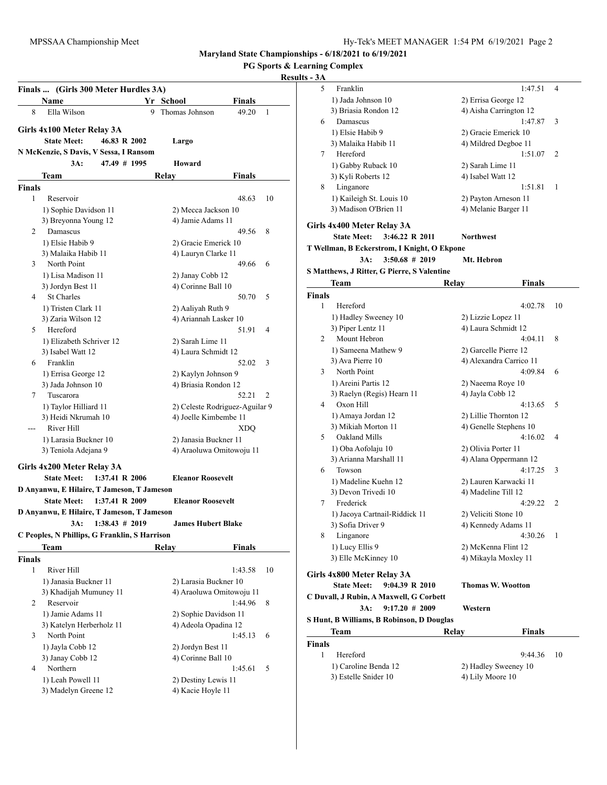| <b>PG Sports &amp; Learning Complex</b> |  |  |  |
|-----------------------------------------|--|--|--|
|-----------------------------------------|--|--|--|

# **Results - 3A**

|               | Finals  (Girls 300 Meter Hurdles 3A)          |                |       |                                                   |               |    |
|---------------|-----------------------------------------------|----------------|-------|---------------------------------------------------|---------------|----|
|               | Name                                          |                |       | Yr School                                         | Finals        |    |
| 8             | Ella Wilson                                   |                | 9     | Thomas Johnson                                    | 49.20         | 1  |
|               | Girls 4x100 Meter Relay 3A                    |                |       |                                                   |               |    |
|               | <b>State Meet:</b>                            | 46.83 R 2002   |       | Largo                                             |               |    |
|               | N McKenzie, S Davis, V Sessa, I Ransom        |                |       |                                                   |               |    |
|               | 3A:                                           | 47.49 # 1995   |       | Howard                                            |               |    |
|               | Team                                          |                | Relay |                                                   | Finals        |    |
| <b>Finals</b> |                                               |                |       |                                                   |               |    |
| 1             | Reservoir                                     |                |       |                                                   | 48.63         | 10 |
|               | 1) Sophie Davidson 11                         |                |       | 2) Mecca Jackson 10                               |               |    |
|               | 3) Breyonna Young 12                          |                |       | 4) Jamie Adams 11                                 |               |    |
| 2             | Damascus                                      |                |       |                                                   | 49.56         | 8  |
|               | 1) Elsie Habib 9                              |                |       | 2) Gracie Emerick 10                              |               |    |
|               | 3) Malaika Habib 11                           |                |       | 4) Lauryn Clarke 11                               |               |    |
| 3             | North Point                                   |                |       |                                                   | 49.66         | 6  |
|               | 1) Lisa Madison 11                            |                |       | 2) Janay Cobb 12                                  |               |    |
|               | 3) Jordyn Best 11                             |                |       | 4) Corinne Ball 10                                |               |    |
| 4             | <b>St Charles</b>                             |                |       |                                                   | 50.70         | 5  |
|               | 1) Tristen Clark 11                           |                |       | 2) Aaliyah Ruth 9                                 |               |    |
|               | 3) Zaria Wilson 12                            |                |       | 4) Ariannah Lasker 10                             |               |    |
| 5             | Hereford                                      |                |       |                                                   | 51.91         | 4  |
|               | 1) Elizabeth Schriver 12                      |                |       | 2) Sarah Lime 11                                  |               |    |
|               | 3) Isabel Watt 12                             |                |       | 4) Laura Schmidt 12                               |               |    |
| 6             | Franklin                                      |                |       |                                                   | 52.02         | 3  |
|               | 1) Errisa George 12                           |                |       | 2) Kaylyn Johnson 9                               |               |    |
|               | 3) Jada Johnson 10                            |                |       | 4) Briasia Rondon 12                              |               |    |
| 7             | Tuscarora                                     |                |       |                                                   | 52.21         | 2  |
|               | 1) Taylor Hilliard 11                         |                |       | 2) Celeste Rodriguez-Aguilar 9                    |               |    |
|               | 3) Heidi Nkrumah 10                           |                |       | 4) Joelle Kimbembe 11                             |               |    |
| ---           | River Hill                                    |                |       |                                                   | XDQ           |    |
|               | 1) Larasia Buckner 10<br>3) Teniola Adejana 9 |                |       | 2) Janasia Buckner 11<br>4) Araoluwa Omitowoju 11 |               |    |
|               |                                               |                |       |                                                   |               |    |
|               | Girls 4x200 Meter Relay 3A                    |                |       |                                                   |               |    |
|               | <b>State Meet:</b>                            | 1:37.41 R 2006 |       | <b>Eleanor Roosevelt</b>                          |               |    |
|               | D Anyanwu, E Hilaire, T Jameson, T Jameson    |                |       |                                                   |               |    |
|               | <b>State Meet:</b>                            | 1:37.41 R 2009 |       | <b>Eleanor Roosevelt</b>                          |               |    |
|               | D Anyanwu, E Hilaire, T Jameson, T Jameson    |                |       |                                                   |               |    |
|               | 3A:                                           | 1:38.43 # 2019 |       | <b>James Hubert Blake</b>                         |               |    |
|               | C Peoples, N Phillips, G Franklin, S Harrison |                |       |                                                   |               |    |
|               | Team                                          |                | Relay |                                                   | <b>Finals</b> |    |
| Finals        |                                               |                |       |                                                   |               |    |
| 1             | River Hill                                    |                |       |                                                   | 1:43.58       | 10 |
|               | 1) Janasia Buckner 11                         |                |       | 2) Larasia Buckner 10                             |               |    |
|               | 3) Khadijah Mumuney 11                        |                |       | 4) Araoluwa Omitowoju 11                          |               |    |
| 2             | Reservoir                                     |                |       |                                                   | 1:44.96       | 8  |
|               | 1) Jamie Adams 11                             |                |       | 2) Sophie Davidson 11                             |               |    |
|               | 3) Katelyn Herberholz 11                      |                |       | 4) Adeola Opadina 12                              |               |    |
| 3             | North Point                                   |                |       |                                                   | 1:45.13       | 6  |
|               | 1) Jayla Cobb 12                              |                |       | 2) Jordyn Best 11                                 |               |    |
| 4             | 3) Janay Cobb 12<br>Northern                  |                |       | 4) Corinne Ball 10                                | 1:45.61       | 5  |
|               | 1) Leah Powell 11                             |                |       | 2) Destiny Lewis 11                               |               |    |
|               | 3) Madelyn Greene 12                          |                |       | 4) Kacie Hoyle 11                                 |               |    |
|               |                                               |                |       |                                                   |               |    |

| 5                  | Franklin                                                                | 1:47.51                                          | 4  |
|--------------------|-------------------------------------------------------------------------|--------------------------------------------------|----|
|                    | 1) Jada Johnson 10                                                      | 2) Errisa George 12                              |    |
|                    | 3) Briasia Rondon 12                                                    | 4) Aisha Carrington 12                           |    |
| 6                  | Damascus                                                                | 1:47.87                                          | 3  |
|                    | 1) Elsie Habib 9                                                        | 2) Gracie Emerick 10                             |    |
|                    | 3) Malaika Habib 11                                                     | 4) Mildred Degboe 11                             |    |
| 7                  | Hereford                                                                | 1:51.07                                          | 2  |
|                    | 1) Gabby Ruback 10                                                      | 2) Sarah Lime 11                                 |    |
|                    | 3) Kyli Roberts 12                                                      | 4) Isabel Watt 12                                |    |
| 8                  | Linganore                                                               | 1:51.81                                          | 1  |
|                    | 1) Kaileigh St. Louis 10                                                | 2) Payton Arneson 11                             |    |
|                    | 3) Madison O'Brien 11                                                   | 4) Melanie Barger 11                             |    |
|                    |                                                                         |                                                  |    |
|                    | Girls 4x400 Meter Relay 3A<br><b>State Meet:</b>                        |                                                  |    |
|                    | 3:46.22 R 2011                                                          | <b>Northwest</b>                                 |    |
|                    | T Wellman, B Eckerstrom, I Knight, O Ekpone                             |                                                  |    |
|                    | $3:50.68 \# 2019$<br>3A:<br>S Matthews, J Ritter, G Pierre, S Valentine | Mt. Hebron                                       |    |
|                    |                                                                         |                                                  |    |
|                    | Team                                                                    | Relay<br>Finals                                  |    |
| <b>Finals</b><br>1 | Hereford                                                                | 4:02.78                                          | 10 |
|                    | 1) Hadley Sweeney 10                                                    | 2) Lizzie Lopez 11                               |    |
|                    | 3) Piper Lentz 11                                                       | 4) Laura Schmidt 12                              |    |
| 2                  | Mount Hebron                                                            | 4:04.11                                          | 8  |
|                    |                                                                         |                                                  |    |
|                    | 1) Sameena Mathew 9<br>3) Ava Pierre 10                                 | 2) Garcelle Pierre 12<br>4) Alexandra Carrico 11 |    |
| 3                  | North Point                                                             | 4:09.84                                          | 6  |
|                    | 1) Areini Partis 12                                                     | 2) Naeema Roye 10                                |    |
|                    | 3) Raelyn (Regis) Hearn 11                                              | 4) Jayla Cobb 12                                 |    |
| 4                  | Oxon Hill                                                               | 4:13.65                                          | 5  |
|                    | 1) Amaya Jordan 12                                                      | 2) Lillie Thornton 12                            |    |
|                    | 3) Mikiah Morton 11                                                     | 4) Genelle Stephens 10                           |    |
| 5                  | Oakland Mills                                                           | 4:16.02                                          | 4  |
|                    | 1) Oba Aofolaju 10                                                      | 2) Olivia Porter 11                              |    |
|                    | 3) Arianna Marshall 11                                                  | 4) Alana Oppermann 12                            |    |
| 6                  | Towson                                                                  | 4:17.25                                          | 3  |
|                    | 1) Madeline Kuehn 12                                                    | 2) Lauren Karwacki 11                            |    |
|                    | 3) Devon Trivedi 10                                                     | 4) Madeline Till 12                              |    |
| 7                  | Frederick                                                               | 4:29.22                                          | 2  |
|                    | 1) Jacoya Cartnail-Riddick 11                                           | 2) Veliciti Stone 10                             |    |
|                    | 3) Sofia Driver 9                                                       | 4) Kennedy Adams 11                              |    |
| 8                  | Linganore                                                               | 4:30.26                                          | 1  |
|                    | 1) Lucy Ellis 9                                                         | 2) McKenna Flint 12                              |    |
|                    | 3) Elle McKinney 10                                                     | 4) Mikayla Moxley 11                             |    |
|                    |                                                                         |                                                  |    |
|                    | Girls 4x800 Meter Relay 3A                                              |                                                  |    |
|                    | 9:04.39 R 2010<br><b>State Meet:</b>                                    | <b>Thomas W. Wootton</b>                         |    |
|                    | C Duvall, J Rubin, A Maxwell, G Corbett                                 |                                                  |    |
|                    | $9:17.20 \# 2009$<br>3A:                                                | Western                                          |    |
|                    | S Hunt, B Williams, B Robinson, D Douglas                               |                                                  |    |
|                    | Team                                                                    | <b>Relay</b><br>Finals                           |    |
| Finals             |                                                                         |                                                  |    |
| 1                  | Hereford                                                                | 9:44.36                                          | 10 |
|                    | 1) Caroline Benda 12                                                    | 2) Hadley Sweeney 10                             |    |
|                    | 3) Estelle Snider 10                                                    | 4) Lily Moore 10                                 |    |
|                    |                                                                         |                                                  |    |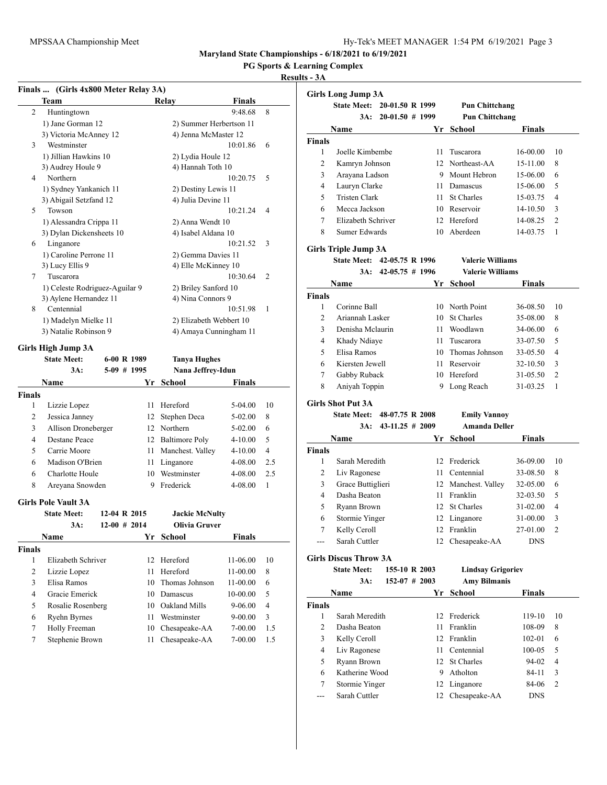**PG Sports & Learning Complex**

### **Results - 3A**

|                | Finals  (Girls 4x800 Meter Relay 3A) |                |    |                       |                         |                |
|----------------|--------------------------------------|----------------|----|-----------------------|-------------------------|----------------|
|                | Team                                 |                |    | Relay                 | <b>Finals</b>           |                |
| $\overline{c}$ | Huntingtown                          |                |    |                       | 9:48.68                 | 8              |
|                | 1) Jane Gorman 12                    |                |    |                       | 2) Summer Herbertson 11 |                |
|                | 3) Victoria McAnney 12               |                |    |                       | 4) Jenna McMaster 12    |                |
| 3              | Westminster                          |                |    |                       | 10:01.86                | 6              |
|                | 1) Jillian Hawkins 10                |                |    | 2) Lydia Houle 12     |                         |                |
|                | 3) Audrey Houle 9                    |                |    | 4) Hannah Toth 10     |                         |                |
| 4              | Northern                             |                |    |                       | 10:20.75                | 5              |
|                | 1) Sydney Yankanich 11               |                |    |                       | 2) Destiny Lewis 11     |                |
|                | 3) Abigail Setzfand 12               |                |    | 4) Julia Devine 11    |                         |                |
| 5              | Towson                               |                |    |                       | 10:21.24                | 4              |
|                | 1) Alessandra Crippa 11              |                |    | 2) Anna Wendt 10      |                         |                |
|                | 3) Dylan Dickensheets 10             |                |    |                       | 4) Isabel Aldana 10     |                |
| 6              | Linganore                            |                |    |                       | 10:21.52                | 3              |
|                | 1) Caroline Perrone 11               |                |    |                       | 2) Gemma Davies 11      |                |
|                | 3) Lucy Ellis 9                      |                |    |                       | 4) Elle McKinney 10     |                |
| 7              | Tuscarora                            |                |    |                       | 10:30.64                | 2              |
|                | 1) Celeste Rodriguez-Aguilar 9       |                |    |                       | 2) Briley Sanford 10    |                |
|                | 3) Aylene Hernandez 11               |                |    | 4) Nina Connors 9     |                         |                |
| 8              | Centennial                           |                |    |                       | 10:51.98                | 1              |
|                | 1) Madelyn Mielke 11                 |                |    |                       | 2) Elizabeth Webbert 10 |                |
|                | 3) Natalie Robinson 9                |                |    |                       | 4) Amaya Cunningham 11  |                |
|                | Girls High Jump 3A                   |                |    |                       |                         |                |
|                | <b>State Meet:</b>                   | 6-00 R 1989    |    | <b>Tanya Hughes</b>   |                         |                |
|                | 3A:                                  | $5-09$ # 1995  |    |                       | Nana Jeffrey-Idun       |                |
|                | Name                                 |                | Yr | <b>School</b>         | Finals                  |                |
| <b>Finals</b>  |                                      |                |    |                       |                         |                |
| 1              | Lizzie Lopez                         |                | 11 | Hereford              | 5-04.00                 | 10             |
| 2              | Jessica Janney                       |                | 12 | Stephen Deca          | 5-02.00                 | 8              |
| 3              | Allison Droneberger                  |                |    | 12 Northern           | 5-02.00                 | 6              |
| 4              | <b>Destane Peace</b>                 |                |    | 12 Baltimore Poly     | 4-10.00                 | 5              |
| 5              | Carrie Moore                         |                | 11 | Manchest. Valley      | 4-10.00                 | 4              |
| 6              | Madison O'Brien                      |                | 11 | Linganore             | 4-08.00                 | 2.5            |
| 6              | Charlotte Houle                      |                |    | 10 Westminster        | 4-08.00                 | 2.5            |
| 8              | Areyana Snowden                      |                |    | 9 Frederick           | 4-08.00                 | 1              |
|                |                                      |                |    |                       |                         |                |
|                | <b>Girls Pole Vault 3A</b>           |                |    |                       |                         |                |
|                | <b>State Meet:</b>                   | 12-04 R 2015   |    | <b>Jackie McNulty</b> |                         |                |
|                | 3A:                                  | $12-00$ # 2014 |    | Olivia Gruver         |                         |                |
|                | Name                                 |                |    | Yr School             | Finals                  |                |
| <b>Finals</b>  |                                      |                |    |                       |                         |                |
| 1              | Elizabeth Schriver                   |                | 12 | Hereford              | 11-06.00                | 10             |
| 2              | Lizzie Lopez                         |                | 11 | Hereford              | 11-00.00                | 8              |
| 3              | Elisa Ramos                          |                | 10 | Thomas Johnson        | 11-00.00                | 6              |
| $\overline{4}$ | Gracie Emerick                       |                | 10 | Damascus              | 10-00.00                | 5              |
| 5              | Rosalie Rosenberg                    |                | 10 | Oakland Mills         | 9-06.00                 | $\overline{4}$ |
| 6              | Ryehn Byrnes                         |                | 11 | Westminster           | $9 - 00.00$             | 3              |
| 7              | Holly Freeman                        |                | 10 | Chesapeake-AA         | 7-00.00                 | 1.5            |

7 Stephenie Brown 11 Chesapeake-AA 7-00.00 1.5

|                | <b>Girls Long Jump 3A</b>    |                      |      |                          |               |                |
|----------------|------------------------------|----------------------|------|--------------------------|---------------|----------------|
|                | <b>State Meet:</b>           | 20-01.50 R 1999      |      | <b>Pun Chittchang</b>    |               |                |
|                | 3A:                          | $20-01.50$ # 1999    |      | <b>Pun Chittchang</b>    |               |                |
|                | Name                         |                      | Yr   | School                   | <b>Finals</b> |                |
| Finals         |                              |                      |      |                          |               |                |
| 1              | Joelle Kimbembe              |                      | 11.  | Tuscarora                | 16-00.00      | 10             |
| $\overline{c}$ | Kamryn Johnson               |                      |      | 12 Northeast-AA          | 15-11.00      | 8              |
| 3              | Arayana Ladson               |                      |      | 9 Mount Hebron           | 15-06.00      | 6              |
| 4              | Lauryn Clarke                |                      |      | 11 Damascus              | 15-06.00      | 5              |
| 5              | Tristen Clark                |                      |      | 11 St Charles            | 15-03.75      | 4              |
| 6              | Mecca Jackson                |                      |      | 10 Reservoir             | 14-10.50      | 3              |
| 7              | Elizabeth Schriver           |                      |      | 12 Hereford              | 14-08.25      | $\overline{2}$ |
| 8              | Sumer Edwards                |                      |      | 10 Aberdeen              | 14-03.75      | 1              |
|                | Girls Triple Jump 3A         |                      |      |                          |               |                |
|                | State Meet: 42-05.75 R 1996  |                      |      | <b>Valerie Williams</b>  |               |                |
|                | 3A:                          | $42 - 05.75 \# 1996$ |      | <b>Valerie Williams</b>  |               |                |
|                | Name                         |                      | Yr   | School                   | Finals        |                |
| Finals         |                              |                      |      |                          |               |                |
| 1              | Corinne Ball                 |                      |      | 10 North Point           | 36-08.50      | 10             |
| $\overline{c}$ | Ariannah Lasker              |                      | 10   | <b>St Charles</b>        | 35-08.00      | 8              |
| 3              | Denisha Mclaurin             |                      | 11   | Woodlawn                 | 34-06.00      | 6              |
| 4              | Khady Ndiaye                 |                      | 11   | Tuscarora                | 33-07.50      | 5              |
| 5              | Elisa Ramos                  |                      |      | 10 Thomas Johnson        | 33-05.50      | 4              |
| 6              | Kiersten Jewell              |                      |      | 11 Reservoir             | 32-10.50      | 3              |
| 7              | Gabby Ruback                 |                      |      | 10 Hereford              | 31-05.50      | $\overline{2}$ |
| 8              | Aniyah Toppin                |                      | 9    | Long Reach               | 31-03.25      | 1              |
|                | <b>Girls Shot Put 3A</b>     |                      |      |                          |               |                |
|                | <b>State Meet:</b>           | 48-07.75 R 2008      |      | <b>Emily Vannoy</b>      |               |                |
|                | 3A:                          | $43-11.25 \# 2009$   |      | <b>Amanda Deller</b>     |               |                |
|                | Name                         |                      | Yr   | School                   | <b>Finals</b> |                |
| Finals         |                              |                      |      |                          |               |                |
| 1              | Sarah Meredith               |                      |      | 12 Frederick             | 36-09.00      | 10             |
| 2              | Liv Ragonese                 |                      | 11 - | Centennial               | 33-08.50      | 8              |
| 3              | Grace Buttiglieri            |                      |      | 12 Manchest. Valley      | 32-05.00      | 6              |
| 4              | Dasha Beaton                 |                      |      | 11 Franklin              | 32-03.50      | 5              |
| 5              | Ryann Brown                  |                      |      | 12 St Charles            | 31-02.00      | 4              |
| 6              | Stormie Yinger               |                      |      | 12 Linganore             | 31-00.00      | 3              |
| $\tau$         | Kelly Ceroll                 |                      |      | 12 Franklin              | 27-01.00      | $\overline{c}$ |
| ---            | Sarah Cuttler                |                      |      | 12 Chesapeake-AA         | <b>DNS</b>    |                |
|                | <b>Girls Discus Throw 3A</b> |                      |      |                          |               |                |
|                | <b>State Meet:</b>           | 155-10 R 2003        |      | <b>Lindsay Grigoriev</b> |               |                |
|                | 3A:                          | $152-07$ # 2003      |      | <b>Amy Bilmanis</b>      |               |                |
|                | Name                         |                      | Yr   | <b>School</b>            | <b>Finals</b> |                |
| <b>Finals</b>  |                              |                      |      |                          |               |                |
| 1              | Sarah Meredith               |                      | 12   | Frederick                | 119-10        | 10             |
| 2              | Dasha Beaton                 |                      | 11   | Franklin                 | 108-09        | 8              |
| 3              | Kelly Ceroll                 |                      |      | 12 Franklin              | 102-01        | 6              |
|                |                              |                      |      |                          |               | 5              |
| 4              | Liv Ragonese                 |                      |      | 11 Centennial            | 100-05        |                |
| 5              | Ryann Brown                  |                      |      | 12 St Charles            | 94-02         | 4              |
| 6              | Katherine Wood               |                      |      | 9 Atholton               | 84-11         | 3              |
| 7              | Stormie Yinger               |                      |      | 12 Linganore             | 84-06         | $\overline{c}$ |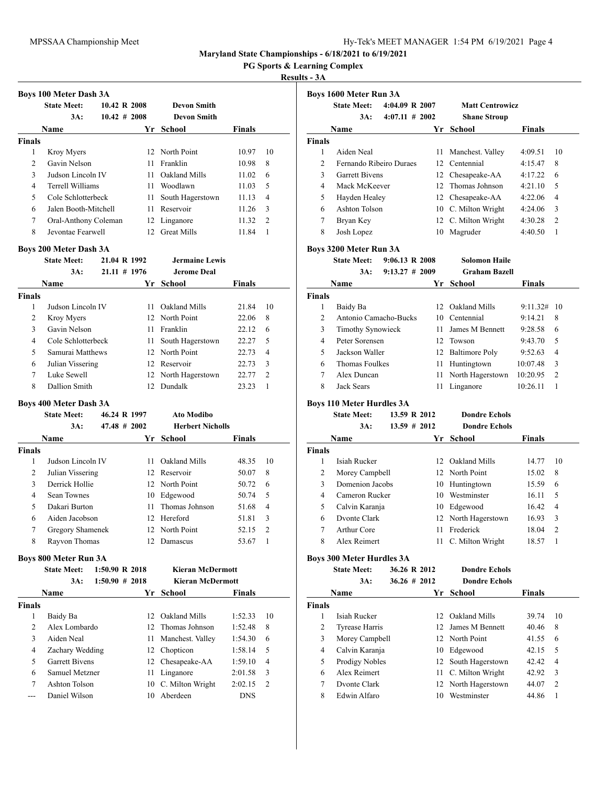**PG Sports & Learning Complex**

### **Results - 3A**

 $\overline{a}$ 

|                | <b>Boys 100 Meter Dash 3A</b> |                  |    |                    |               |                |
|----------------|-------------------------------|------------------|----|--------------------|---------------|----------------|
|                | <b>State Meet:</b>            | 10.42 R 2008     |    | <b>Devon Smith</b> |               |                |
|                | 3A:                           | $10.42 \pm 2008$ |    | <b>Devon Smith</b> |               |                |
|                | Name                          |                  | Yr | School             | <b>Finals</b> |                |
| <b>Finals</b>  |                               |                  |    |                    |               |                |
| 1              | Kroy Myers                    |                  |    | 12 North Point     | 10.97         | 10             |
| $\mathfrak{D}$ | Gavin Nelson                  |                  | 11 | Franklin           | 10.98         | 8              |
| 3              | Judson Lincoln IV             |                  | 11 | Oakland Mills      | 11.02         | 6              |
| 4              | Terrell Williams              |                  | 11 | Woodlawn           | 11.03         | 5              |
| 5              | Cole Schlotterbeck            |                  | 11 | South Hagerstown   | 11.13         | $\overline{4}$ |
| 6              | Jalen Booth-Mitchell          |                  | 11 | Reservoir          | 11.26         | $\mathcal{R}$  |
| 7              | Oral-Anthony Coleman          |                  | 12 | Linganore          | 11.32         | $\overline{2}$ |
| 8              | Jevontae Fearwell             |                  | 12 | <b>Great Mills</b> | 11.84         |                |

### **Boys 200 Meter Dash 3A**

|               | <b>State Meet:</b> | 21.04 R 1992    |     | <b>Jermaine Lewis</b> |               |                |
|---------------|--------------------|-----------------|-----|-----------------------|---------------|----------------|
|               | $3A$ :             | $21.11 \# 1976$ |     | <b>Jerome Deal</b>    |               |                |
|               | Name               |                 | Yr  | School                | <b>Finals</b> |                |
| <b>Finals</b> |                    |                 |     |                       |               |                |
| 1             | Judson Lincoln IV  |                 | 11  | Oakland Mills         | 21.84         | 10             |
| 2             | Kroy Myers         |                 |     | 12 North Point        | 22.06         | 8              |
| 3             | Gavin Nelson       |                 | 11  | Franklin              | 22.12         | 6              |
| 4             | Cole Schlotterbeck |                 | 11. | South Hagerstown      | 22.27         | 5              |
| 5             | Samurai Matthews   |                 |     | 12 North Point        | 22.73         | $\overline{4}$ |
| 6             | Julian Vissering   |                 |     | 12 Reservoir          | 22.73         | 3              |
| 7             | Luke Sewell        |                 |     | 12 North Hagerstown   | 22.77         | $\overline{2}$ |
| 8             | Dallion Smith      |                 | 12. | Dundalk               | 23.23         |                |

### **Boys 400 Meter Dash 3A**

| <b>State Meet:</b> |                                                                                                                | <b>Ato Modibo</b>                |                                                                                                  |                         |
|--------------------|----------------------------------------------------------------------------------------------------------------|----------------------------------|--------------------------------------------------------------------------------------------------|-------------------------|
| 3A:                |                                                                                                                |                                  |                                                                                                  |                         |
| Name               | Yr                                                                                                             | School                           | <b>Finals</b>                                                                                    |                         |
|                    |                                                                                                                |                                  |                                                                                                  |                         |
|                    | 11.                                                                                                            | Oakland Mills                    | 48.35                                                                                            | 10                      |
|                    |                                                                                                                |                                  | 50.07                                                                                            | 8                       |
|                    |                                                                                                                |                                  | 50.72                                                                                            | 6                       |
| <b>Sean Townes</b> |                                                                                                                |                                  | 50.74                                                                                            | 5                       |
| Dakari Burton      |                                                                                                                |                                  | 51.68                                                                                            | 4                       |
|                    | 12.                                                                                                            |                                  | 51.81                                                                                            | 3                       |
|                    |                                                                                                                |                                  | 52.15                                                                                            | $\mathcal{L}$           |
|                    |                                                                                                                | Damascus                         | 53.67                                                                                            |                         |
|                    | Judson Lincoln IV<br>Julian Vissering<br>Derrick Hollie<br>Aiden Jacobson<br>Gregory Shamenek<br>Rayvon Thomas | 46.24 R 1997<br>$47.48 \pm 2002$ | 12 Reservoir<br>12 North Point<br>10 Edgewood<br>11 Thomas Johnson<br>Hereford<br>12 North Point | <b>Herbert Nicholls</b> |

## **Boys 800 Meter Run 3A**

|        | <b>State Meet:</b>    | 1:50.90 R 2018    |     | <b>Kieran McDermott</b> |               |                |
|--------|-----------------------|-------------------|-----|-------------------------|---------------|----------------|
|        | 3A:                   | $1:50.90 \# 2018$ |     | <b>Kieran McDermott</b> |               |                |
|        | <b>Name</b>           |                   | Yr. | School                  | <b>Finals</b> |                |
| Finals |                       |                   |     |                         |               |                |
| 1      | Baidy Ba              |                   |     | 12 Oakland Mills        | 1:52.33       | 10             |
| 2      | Alex Lombardo         |                   |     | 12. Thomas Johnson      | 1:52.48       | 8              |
| 3      | Aiden Neal            |                   | 11  | Manchest. Valley        | 1:54.30       | 6              |
| 4      | Zachary Wedding       |                   |     | 12 Chopticon            | 1:58.14       | 5              |
| 5      | <b>Garrett Bivens</b> |                   |     | 12 Chesapeake-AA        | 1:59.10       | 4              |
| 6      | Samuel Metzner        |                   | 11  | Linganore               | 2:01.58       | 3              |
| 7      | Ashton Tolson         |                   |     | 10 C. Milton Wright     | 2:02.15       | $\overline{2}$ |
|        | Daniel Wilson         |                   | 10  | Aberdeen                | <b>DNS</b>    |                |
|        |                       |                   |     |                         |               |                |

|               | <b>State Meet:</b>      | $4:04.09$ R $2007$ |                 | <b>Matt Centrowicz</b> |               |                |
|---------------|-------------------------|--------------------|-----------------|------------------------|---------------|----------------|
|               | 3A:                     | $4:07.11 \# 2002$  |                 | <b>Shane Stroup</b>    |               |                |
|               | <b>Name</b>             |                    | Yr              | <b>School</b>          | <b>Finals</b> |                |
| <b>Finals</b> |                         |                    |                 |                        |               |                |
| 1             | Aiden Neal              |                    | 11              | Manchest. Valley       | 4:09.51       | 10             |
| 2             | Fernando Ribeiro Duraes |                    |                 | 12 Centennial          | 4:15.47       | 8              |
| 3             | <b>Garrett Bivens</b>   |                    | 12              | Chesapeake-AA          | 4:17.22       | 6              |
| 4             | Mack McKeever           |                    | 12 <sup>7</sup> | Thomas Johnson         | 4:21.10       | 5              |
| 5             | Hayden Healey           |                    | 12              | Chesapeake-AA          | 4:22.06       | 4              |
| 6             | Ashton Tolson           |                    | 10              | C. Milton Wright       | 4:24.06       | 3              |
| 7             | Bryan Key               |                    | 12              | C. Milton Wright       | 4:30.28       | $\overline{2}$ |
| 8             | Josh Lopez              |                    | 10              | Magruder               | 4:40.50       | 1              |

### **Boys 3200 Meter Run 3A**

**State Meet: 9:06.13 R 2008 Solomon Haile 3A: 9:13.27 # 2009 Graham Bazell**

|      | $9:13.27 \# 2009$ | <b>Graham Bazell</b> |               |
|------|-------------------|----------------------|---------------|
| Name |                   | Yr School            | <b>Finals</b> |

|               | . <b>.</b>            |    | .                   | .        |     |
|---------------|-----------------------|----|---------------------|----------|-----|
| <b>Finals</b> |                       |    |                     |          |     |
|               | Baidy Ba              | 12 | Oakland Mills       | 9:11.32# | -10 |
| $\mathcal{L}$ | Antonio Camacho-Bucks |    | 10 Centennial       | 9:14.21  | 8   |
| 3             | Timothy Synowieck     | 11 | James M Bennett     | 9:28.58  | 6   |
| 4             | Peter Sorensen        |    | 12 Towson           | 9:43.70  | 5   |
| 5             | Jackson Waller        |    | 12 Baltimore Poly   | 9:52.63  | 4   |
| 6             | Thomas Foulkes        |    | 11 Huntingtown      | 10:07.48 | 3   |
| 7             | Alex Duncan           |    | 11 North Hagerstown | 10:20.95 | 2   |
| 8             | Jack Sears            | 11 | Linganore           | 10:26.11 |     |
|               |                       |    |                     |          |     |

# **Boys 110 Meter Hurdles 3A**

|               | $D013$ Ho meter handles $D11$ |                 |                      |               |                |
|---------------|-------------------------------|-----------------|----------------------|---------------|----------------|
|               | <b>State Meet:</b>            | 13.59 R 2012    | <b>Dondre Echols</b> |               |                |
|               | $3A$ :                        | $13.59 \# 2012$ | <b>Dondre Echols</b> |               |                |
|               | Name                          | Yr              | School               | <b>Finals</b> |                |
| <b>Finals</b> |                               |                 |                      |               |                |
|               | Isiah Rucker                  | 12.             | Oakland Mills        | 14.77         | 10             |
| 2             | Morey Campbell                |                 | 12 North Point       | 15.02         | 8              |
| 3             | Domenion Jacobs               | 10              | Huntingtown          | 15.59         | 6              |
| 4             | Cameron Rucker                | 10              | Westminster          | 16.11         | 5              |
| 5             | Calvin Karanja                | 10              | Edgewood             | 16.42         | $\overline{4}$ |
| 6             | Dvonte Clark                  |                 | 12 North Hagerstown  | 16.93         | 3              |
| 7             | Arthur Core                   | 11              | Frederick            | 18.04         | $\overline{2}$ |
| 8             | Alex Reimert                  | 11              | C. Milton Wright     | 18.57         |                |

### **Boys 300 Meter Hurdles 3A**

|               | <b>State Meet:</b> | 36.26 R 2012     |     | <b>Dondre Echols</b> |               |                |
|---------------|--------------------|------------------|-----|----------------------|---------------|----------------|
|               | 3A:                | $36.26 \pm 2012$ |     | <b>Dondre Echols</b> |               |                |
|               | Name               |                  | Yr  | <b>School</b>        | <b>Finals</b> |                |
| <b>Finals</b> |                    |                  |     |                      |               |                |
| 1             | Isiah Rucker       |                  | 12. | Oakland Mills        | 39.74         | 10             |
| 2             | Tyrease Harris     |                  |     | 12 James M Bennett   | 40.46         | 8              |
| 3             | Morey Campbell     |                  |     | 12 North Point       | 41.55         | 6              |
| 4             | Calvin Karanja     |                  | 10  | Edgewood             | 42.15         | 5              |
| 5             | Prodigy Nobles     |                  |     | 12 South Hagerstown  | 42.42         | 4              |
| 6             | Alex Reimert       |                  |     | 11 C. Milton Wright  | 42.92         | 3              |
| 7             | Dvonte Clark       |                  |     | 12 North Hagerstown  | 44.07         | $\overline{2}$ |
| 8             | Edwin Alfaro       |                  | 10  | Westminster          | 44.86         |                |
|               |                    |                  |     |                      |               |                |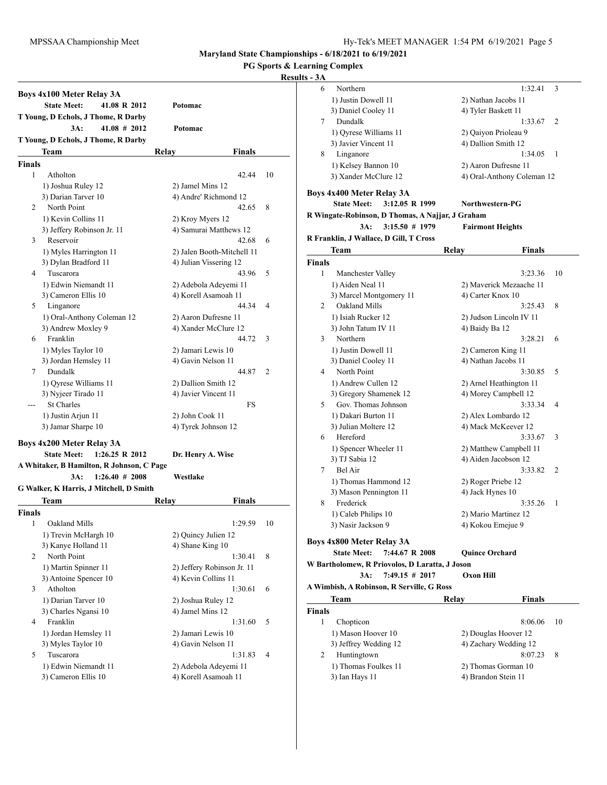**PG Sports & Learning Complex**

# **Results**

|                    | Boys 4x100 Meter Relay 3A<br><b>State Meet:</b><br>41.08 R 2012 | Potomac                    |    |
|--------------------|-----------------------------------------------------------------|----------------------------|----|
|                    | T Young, D Echols, J Thome, R Darby                             |                            |    |
|                    | $3A$ :<br>$41.08 \# 2012$                                       | Potomac                    |    |
|                    | T Young, D Echols, J Thome, R Darby                             |                            |    |
|                    | Team                                                            | Relav<br>Finals            |    |
|                    |                                                                 |                            |    |
| <b>Finals</b><br>1 |                                                                 |                            |    |
|                    | Atholton                                                        | 42.44                      | 10 |
|                    | 1) Joshua Ruley 12                                              | 2) Jamel Mins 12           |    |
|                    | 3) Darian Tarver 10<br>North Point                              | 4) Andre' Richmond 12      |    |
| 2                  |                                                                 | 42.65                      | 8  |
|                    | 1) Kevin Collins 11                                             | 2) Kroy Myers 12           |    |
|                    | 3) Jeffery Robinson Jr. 11                                      | 4) Samurai Matthews 12     |    |
| 3                  | Reservoir                                                       | 42.68                      | 6  |
|                    | 1) Myles Harrington 11                                          | 2) Jalen Booth-Mitchell 11 |    |
|                    | 3) Dylan Bradford 11                                            | 4) Julian Vissering 12     |    |
| 4                  | Tuscarora                                                       | 43.96                      | 5  |
|                    | 1) Edwin Niemandt 11                                            | 2) Adebola Adeyemi 11      |    |
|                    | 3) Cameron Ellis 10                                             | 4) Korell Asamoah 11       |    |
| 5                  | Linganore                                                       | 44.34                      | 4  |
|                    | 1) Oral-Anthony Coleman 12                                      | 2) Aaron Dufresne 11       |    |
|                    | 3) Andrew Moxley 9                                              | 4) Xander McClure 12       |    |
| 6                  | Franklin                                                        | 44.72                      | 3  |
|                    | 1) Myles Taylor 10                                              | 2) Jamari Lewis 10         |    |
|                    | 3) Jordan Hemsley 11                                            | 4) Gavin Nelson 11         |    |
| 7                  | Dundalk                                                         | 44.87                      | 2  |
|                    | 1) Qyrese Williams 11                                           | 2) Dallion Smith 12        |    |
|                    | 3) Nyjeer Tirado 11                                             | 4) Javier Vincent 11       |    |
|                    | <b>St Charles</b>                                               | FS                         |    |
|                    | 1) Justin Arjun 11                                              | 2) John Cook 11            |    |
|                    | 3) Jamar Sharpe 10                                              | 4) Tyrek Johnson 12        |    |
|                    | Boys 4x200 Meter Relay 3A                                       |                            |    |
|                    | <b>State Meet:</b><br>$1:26.25 \text{ R } 2012$                 | Dr. Henry A. Wise          |    |
|                    | A Whitaker, B Hamilton, R Johnson, C Page                       |                            |    |
|                    | 1:26.40#2008<br>3A:                                             | Westlake                   |    |
|                    | G Walker, K Harris, J Mitchell, D Smith                         |                            |    |
|                    | Team                                                            |                            |    |
|                    |                                                                 | Relay<br><b>Finals</b>     |    |
| <b>Finals</b>      |                                                                 |                            |    |
| 1                  | Oakland Mills                                                   | 1:29.59                    | 10 |
|                    | 1) Trevin McHargh 10                                            | 2) Quincy Julien 12        |    |
|                    | 3) Kanye Holland 11                                             | 4) Shane King 10           |    |
| 2                  | North Point                                                     | 1:30.41                    | 8  |
|                    | 1) Martin Spinner 11                                            | 2) Jeffery Robinson Jr. 11 |    |
|                    | 3) Antoine Spencer 10                                           | 4) Kevin Collins 11        |    |
| 3                  | Atholton                                                        | 1:30.61                    | 6  |
|                    | 1) Darian Tarver 10                                             | 2) Joshua Ruley 12         |    |
|                    | 3) Charles Ngansi 10                                            | 4) Jamel Mins 12           |    |
| 4                  | Franklin                                                        | 1:31.60                    | 5  |
|                    | 1) Jordan Hemsley 11                                            | 2) Jamari Lewis 10         |    |
|                    | 3) Myles Taylor 10                                              | 4) Gavin Nelson 11         |    |
| 5                  | Tuscarora                                                       | 1:31.83                    | 4  |
|                    | 1) Edwin Niemandt 11                                            | 2) Adebola Adeyemi 11      |    |
|                    | 3) Cameron Ellis 10                                             | 4) Korell Asamoah 11       |    |
|                    |                                                                 |                            |    |

| $-3A$  |                                                  |                            |    |
|--------|--------------------------------------------------|----------------------------|----|
| 6      | Northern                                         | 1:32.41                    | 3  |
|        | 1) Justin Dowell 11                              | 2) Nathan Jacobs 11        |    |
|        | 3) Daniel Cooley 11                              | 4) Tyler Baskett 11        |    |
| 7      | Dundalk                                          | 1:33.67                    | 2  |
|        | 1) Oyrese Williams 11                            | 2) Qaiyon Prioleau 9       |    |
|        | 3) Javier Vincent 11                             | 4) Dallion Smith 12        |    |
| 8      | Linganore                                        | 1:34.05                    | 1  |
|        | 1) Kelsey Bannon 10                              |                            |    |
|        |                                                  | 2) Aaron Dufresne 11       |    |
|        | 3) Xander McClure 12                             | 4) Oral-Anthony Coleman 12 |    |
|        | <b>Boys 4x400 Meter Relay 3A</b>                 |                            |    |
|        | <b>State Meet:</b><br>3:12.05 R 1999             | Northwestern-PG            |    |
|        | R Wingate-Robinson, D Thomas, A Najjar, J Graham |                            |    |
|        | $3:15.50 \# 1979$<br>$3A$ :                      | <b>Fairmont Heights</b>    |    |
|        | R Franklin, J Wallace, D Gill, T Cross           |                            |    |
|        | Team                                             | <b>Finals</b>              |    |
|        |                                                  | Relay                      |    |
| Finals |                                                  |                            |    |
| 1      | Manchester Valley                                | 3:23.36                    | 10 |
|        | 1) Aiden Neal 11                                 | 2) Maverick Mezaache 11    |    |
|        | 3) Marcel Montgomery 11                          | 4) Carter Knox 10          |    |
| 2      | Oakland Mills                                    | 3:25.43                    | 8  |
|        | 1) Isiah Rucker 12                               | 2) Judson Lincoln IV 11    |    |
|        | 3) John Tatum IV 11                              | 4) Baidy Ba 12             |    |
| 3      | Northern                                         | 3:28.21                    | 6  |
|        | 1) Justin Dowell 11                              | 2) Cameron King 11         |    |
|        | 3) Daniel Cooley 11                              | 4) Nathan Jacobs 11        |    |
| 4      | North Point                                      | 3:30.85                    | 5  |
|        | 1) Andrew Cullen 12                              | 2) Arnel Heathington 11    |    |
|        | 3) Gregory Shamenek 12                           | 4) Morey Campbell 12       |    |
| 5      | Gov. Thomas Johnson                              | 3:33.34                    | 4  |
|        | 1) Dakari Burton 11                              | 2) Alex Lombardo 12        |    |
|        | 3) Julian Moltere 12                             | 4) Mack McKeever 12        |    |
| 6      | Hereford                                         |                            | 3  |
|        |                                                  | 3:33.67                    |    |
|        | 1) Spencer Wheeler 11                            | 2) Matthew Campbell 11     |    |
|        | 3) TJ Sabia 12                                   | 4) Aiden Jacobson 12       |    |
| 7      | Bel Air                                          | 3:33.82                    | 2  |
|        | 1) Thomas Hammond 12                             | 2) Roger Priebe 12         |    |
|        | 3) Mason Pennington 11                           | 4) Jack Hynes 10           |    |
| 8      | Frederick                                        | 3:35.26                    | 1  |
|        | 1) Caleb Philips 10                              | 2) Mario Martinez 12       |    |
|        | 3) Nasir Jackson 9                               | 4) Kokou Emejue 9          |    |
|        | Boys 4x800 Meter Relay 3A                        |                            |    |
|        | <b>State Meet:</b><br>7:44.67 R 2008             | <b>Ouince Orchard</b>      |    |
|        | W Bartholomew, R Priovolos, D Laratta, J Joson   |                            |    |
|        |                                                  | <b>Oxon Hill</b>           |    |
|        | 3A:<br>$7:49.15 \# 2017$                         |                            |    |
|        | A Wimbish, A Robinson, R Serville, G Ross        |                            |    |
|        | Team                                             | Relay<br>Finals            |    |
| Finals |                                                  |                            |    |
| 1      | Chopticon                                        | 8:06.06                    | 10 |
|        | 1) Mason Hoover 10                               | 2) Douglas Hoover 12       |    |
|        | 3) Jeffrey Wedding 12                            | 4) Zachary Wedding 12      |    |
| 2      | Huntingtown                                      | 8:07.23                    | 8  |
|        | 1) Thomas Foulkes 11                             | 2) Thomas Gorman 10        |    |
|        | 3) Ian Hays 11                                   | 4) Brandon Stein 11        |    |
|        |                                                  |                            |    |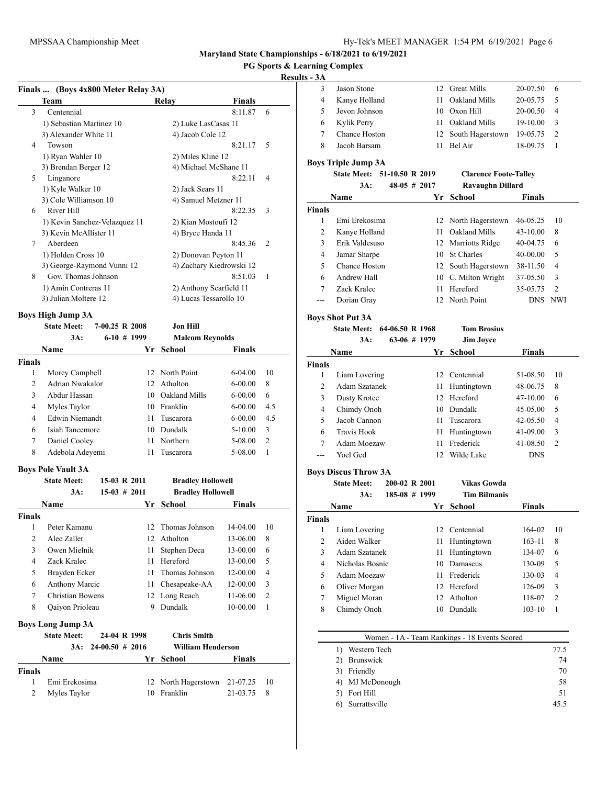# **PG Sports & Learning Complex**

# **Results - 3A**

|   | Finals  (Boys 4x800 Meter Relay 3A) |                          |                |
|---|-------------------------------------|--------------------------|----------------|
|   | <b>Team</b>                         | <b>Finals</b><br>Relay   |                |
| 3 | Centennial                          | 8:11.87                  | 6              |
|   | 1) Sebastian Martinez 10            | 2) Luke LasCasas 11      |                |
|   | 3) Alexander White 11               | 4) Jacob Cole 12         |                |
| 4 | Towson                              | 8:21.17                  | 5              |
|   | 1) Ryan Wahler 10                   | 2) Miles Kline 12        |                |
|   | 3) Brendan Berger 12                | 4) Michael McShane 11    |                |
| 5 | Linganore                           | 8:22.11                  | 4              |
|   | 1) Kyle Walker 10                   | 2) Jack Sears 11         |                |
|   | 3) Cole Williamson 10               | 4) Samuel Metzner 11     |                |
| 6 | River Hill                          | 8:22.35                  | 3              |
|   | 1) Kevin Sanchez-Velazquez 11       | 2) Kian Mostoufi 12      |                |
|   | 3) Kevin McAllister 11              | 4) Bryce Handa 11        |                |
| 7 | Aberdeen                            | 8:45.36                  | $\overline{2}$ |
|   | 1) Holden Cross 10                  | 2) Donovan Peyton 11     |                |
|   | 3) George-Raymond Vunni 12          | 4) Zachary Kiedrowski 12 |                |
| 8 | Gov. Thomas Johnson                 | 8:51.03                  | 1              |
|   | 1) Amin Contreras 11                | 2) Anthony Scarfield 11  |                |
|   | 3) Julian Moltere 12                | 4) Lucas Tessarollo 10   |                |
|   | Boys High Jump 3A                   |                          |                |

|        | <b>State Meet:</b> | $7-00.25$ R $2008$ |     | Jon Hill               |               |                |
|--------|--------------------|--------------------|-----|------------------------|---------------|----------------|
|        | 3A:                | $6-10$ # 1999      |     | <b>Malcom Reynolds</b> |               |                |
|        | <b>Name</b>        |                    | Yr  | <b>School</b>          | <b>Finals</b> |                |
| Finals |                    |                    |     |                        |               |                |
| 1      | Morey Campbell     |                    |     | 12 North Point         | $6-04.00$     | 10             |
| 2      | Adrian Nwakalor    |                    | 12. | Atholton               | $6 - 00.00$   | 8              |
| 3      | Abdur Hassan       |                    | 10  | Oakland Mills          | $6 - 00.00$   | 6              |
| 4      | Myles Taylor       |                    | 10  | Franklin               | $6 - 00.00$   | 4.5            |
| 4      | Edwin Niemandt     |                    | 11  | Tuscarora              | $6 - 00.00$   | 4.5            |
| 6      | Isiah Tancemore    |                    | 10  | Dundalk                | $5 - 10.00$   | 3              |
| 7      | Daniel Cooley      |                    | 11  | Northern               | 5-08.00       | $\overline{c}$ |
| 8      | Adebola Adeyemi    |                    | 11  | Tuscarora              | 5-08.00       |                |

### **Boys Pole Vault 3A**

|               | <b>State Meet:</b>       | 15-03 R 2011           |    | <b>Bradley Hollowell</b> |               |               |
|---------------|--------------------------|------------------------|----|--------------------------|---------------|---------------|
|               | 3A:                      | $15-03 \# 2011$        |    | <b>Bradley Hollowell</b> |               |               |
|               | Name                     |                        | Yr | School                   | <b>Finals</b> |               |
| <b>Finals</b> |                          |                        |    |                          |               |               |
| 1             | Peter Kamanu             |                        | 12 | Thomas Johnson           | 14-04.00      | 10            |
| 2             | Alec Zaller              |                        | 12 | Atholton                 | 13-06.00      | 8             |
| 3             | Owen Mielnik             |                        | 11 | Stephen Deca             | 13-00.00      | 6             |
| 4             | Zack Kralec              |                        | 11 | Hereford                 | 13-00.00      | 5             |
| 5             | Brayden Ecker            |                        | 11 | Thomas Johnson           | 12-00.00      | 4             |
| 6             | <b>Anthony Marcic</b>    |                        | 11 | Chesapeake-AA            | 12-00.00      | 3             |
| 7             | <b>Christian Bowens</b>  |                        | 12 | Long Reach               | 11-06.00      | $\mathcal{L}$ |
| 8             | Qaiyon Prioleau          |                        | 9  | Dundalk                  | 10-00.00      | 1             |
|               | <b>Boys Long Jump 3A</b> |                        |    |                          |               |               |
|               | <b>State Meet:</b>       | 24-04 R 1998           |    | <b>Chris Smith</b>       |               |               |
|               |                          | $3A: 24-00.50 \# 2016$ |    | <b>William Henderson</b> |               |               |
|               | Name                     |                        | Yr | School                   | Finals        |               |
| <b>Finals</b> |                          |                        |    |                          |               |               |
| 1             | Emi Erekosima            |                        | 12 | North Hagerstown         | 21-07.25      | 10            |
| 2             | Myles Taylor             |                        | 10 | Franklin                 | 21-03.75      | 8             |

| 3             | Jason Stone                 | 12 | <b>Great Mills</b>           | 20-07.50 | 6              |
|---------------|-----------------------------|----|------------------------------|----------|----------------|
| 4             | Kanye Holland               | 11 | Oakland Mills                | 20-05.75 | 5              |
| 5             | Jevon Johnson               | 10 | Oxon Hill                    | 20-00.50 | 4              |
| 6             | Kylik Perry                 | 11 | Oakland Mills                | 19-10.00 | 3              |
| 7             | Chance Hoston               | 12 | South Hagerstown             | 19-05.75 | 2              |
| 8             | Jacob Barsam                | 11 | Bel Air                      | 18-09.75 | 1              |
|               | <b>Boys Triple Jump 3A</b>  |    |                              |          |                |
|               | State Meet: 51-10.50 R 2019 |    | <b>Clarence Foote-Talley</b> |          |                |
|               | $48-05$ # 2017<br>3A:       |    | <b>Ravaughn Dillard</b>      |          |                |
|               | Name                        | Yr | School                       | Finals   |                |
|               |                             |    |                              |          |                |
| <b>Finals</b> |                             |    |                              |          |                |
| 1             | Emi Erekosima               | 12 | North Hagerstown             | 46-05.25 | 10             |
| 2             | Kanye Holland               | 11 | Oakland Mills                | 43-10.00 | 8              |
| 3             | Erik Valdesuso              | 12 | Marriotts Ridge              | 40-04.75 | 6              |
| 4             | Jamar Sharpe                | 10 | <b>St Charles</b>            | 40-00.00 | 5              |
| 5             | Chance Hoston               | 12 | South Hagerstown             | 38-11.50 | 4              |
| 6             | Andrew Hall                 | 10 | C. Milton Wright             | 37-05.50 | 3              |
| 7             | Zack Kralec                 | 11 | Hereford                     | 35-05.75 | $\overline{2}$ |
| ---           | Dorian Gray                 | 12 | North Point                  | DNS.     | <b>NWI</b>     |

#### **Boys Shot Put 3A**

## **State Meet: 64-06.50 R 1968 Tom Brosius 3A: 63-06 # 1979 Jim Joyce**

| Name          |               |     | Yr School     | <b>Finals</b> |                |
|---------------|---------------|-----|---------------|---------------|----------------|
| Finals        |               |     |               |               |                |
|               | Liam Lovering |     | 12 Centennial | 51-08.50      | 10             |
| $\mathcal{L}$ | Adam Szatanek | 11  | Huntingtown   | 48-06.75      | 8              |
| 3             | Dusty Krotee  |     | 12 Hereford   | 47-10.00      | 6              |
| 4             | Chimdy Onoh   | 10  | Dundalk       | 45-05.00      | 5              |
| 5             | Jacob Cannon  | 11  | Tuscarora     | $42 - 05.50$  | 4              |
| 6             | Travis Hook   | 11  | Huntingtown   | 41-09.00      | 3              |
| 7             | Adam Moezaw   | 11  | Frederick     | 41-08.50      | $\overline{2}$ |
|               | Yoel Ged      | 12. | Wilde Lake    | <b>DNS</b>    |                |

### **Boys Discus Throw 3A**

**State Meet: 200-02 R 2001 Vikas Gowda**

```
3A: 185-08 # 1999 Tim Bilmanis
```

| ı. | 10JUU T 1777 |  | . |
|----|--------------|--|---|
|    |              |  |   |
|    |              |  |   |

| Name          |                 |     | Yr School     | <b>Finals</b> |    |  |
|---------------|-----------------|-----|---------------|---------------|----|--|
| <b>Finals</b> |                 |     |               |               |    |  |
|               | Liam Lovering   |     | 12 Centennial | 164-02        | 10 |  |
| $\mathcal{D}$ | Aiden Walker    | 11  | Huntingtown   | $163 - 11$    | 8  |  |
| 3             | Adam Szatanek   | 11  | Huntingtown   | 134-07        | 6  |  |
| 4             | Nicholas Bosnic | 10  | Damascus      | 130-09        | 5  |  |
| 5             | Adam Moezaw     | 11  | Frederick     | 130-03        | 4  |  |
| 6             | Oliver Morgan   |     | 12 Hereford   | 126-09        | 3  |  |
| 7             | Miguel Moran    | 12. | Atholton      | 118-07        | 2  |  |
| 8             | Chimdy Onoh     | 10  | Dundalk       | $103 - 10$    |    |  |
|               |                 |     |               |               |    |  |

| Women - 1A - Team Rankings - 18 Events Scored |      |  |  |
|-----------------------------------------------|------|--|--|
| Western Tech                                  | 77.5 |  |  |
| Brunswick                                     | 74   |  |  |
| Friendly<br>3)                                | 70   |  |  |
| MJ McDonough                                  | 58   |  |  |
| Fort Hill                                     | 51   |  |  |
| Surrattsville                                 | 45.5 |  |  |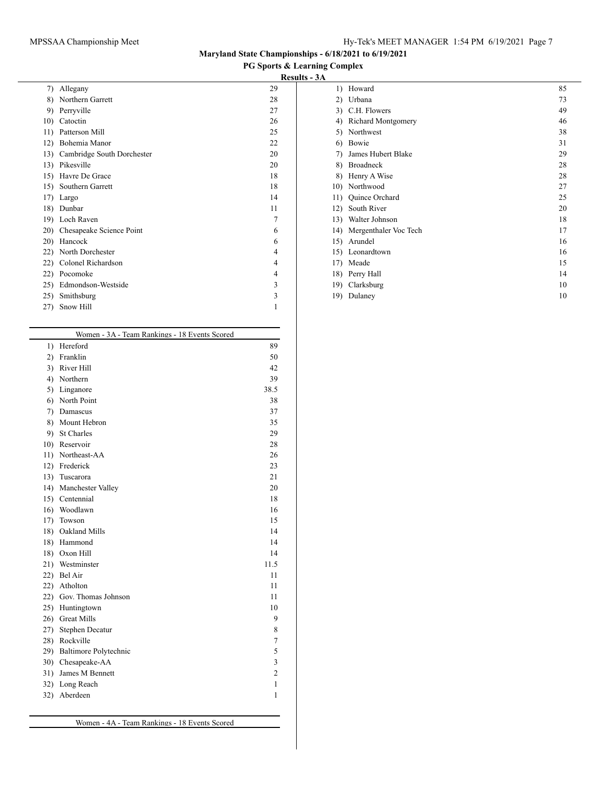**PG Sports & Learning Complex**

# **Results - 3A**

| 7)  | Allegany                   | 29 |
|-----|----------------------------|----|
| 8)  | Northern Garrett           | 28 |
| 9)  | Perryville                 | 27 |
| 10) | Catoctin                   | 26 |
| 11) | Patterson Mill             | 25 |
| 12) | Bohemia Manor              | 22 |
| 13) | Cambridge South Dorchester | 20 |
| 13) | Pikesville                 | 20 |
| 15) | Havre De Grace             | 18 |
| 15) | Southern Garrett           | 18 |
| 17) | Largo                      | 14 |
| 18) | Dunbar                     | 11 |
| 19) | Loch Raven                 | 7  |
| 20) | Chesapeake Science Point   | 6  |
| 20) | Hancock                    | 6  |
| 22) | North Dorchester           | 4  |
| 22) | Colonel Richardson         | 4  |
| 22) | Pocomoke                   | 4  |
| 25) | Edmondson-Westside         | 3  |
| 25) | Smithsburg                 | 3  |
| 27) | Snow Hill                  | 1  |
|     |                            |    |

|     | Women - 3A - Team Rankings - 18 Events Scored |                |  |  |  |
|-----|-----------------------------------------------|----------------|--|--|--|
| 1)  | Hereford                                      | 89             |  |  |  |
| 2)  | Franklin                                      | 50             |  |  |  |
|     | 3) River Hill                                 | 42             |  |  |  |
|     | 4) Northern                                   | 39             |  |  |  |
|     | 5) Linganore                                  | 38.5           |  |  |  |
| 6)  | North Point                                   | 38             |  |  |  |
| 7)  | Damascus                                      | 37             |  |  |  |
|     | 8) Mount Hebron                               | 35             |  |  |  |
|     | 9) St Charles                                 | 29             |  |  |  |
|     | 10) Reservoir                                 | 28             |  |  |  |
|     | 11) Northeast-AA                              | 26             |  |  |  |
|     | 12) Frederick                                 | 23             |  |  |  |
|     | 13) Tuscarora                                 | 21             |  |  |  |
|     | 14) Manchester Valley                         | 20             |  |  |  |
|     | 15) Centennial                                | 18             |  |  |  |
|     | 16) Woodlawn                                  | 16             |  |  |  |
|     | 17) Towson                                    | 15             |  |  |  |
|     | 18) Oakland Mills                             | 14             |  |  |  |
|     | 18) Hammond                                   | 14             |  |  |  |
|     | 18) Oxon Hill                                 | 14             |  |  |  |
|     | 21) Westminster                               | 11.5           |  |  |  |
|     | 22) Bel Air                                   | 11             |  |  |  |
|     | 22) Atholton                                  | 11             |  |  |  |
|     | 22) Gov. Thomas Johnson                       | 11             |  |  |  |
|     | 25) Huntingtown                               | 10             |  |  |  |
|     | 26) Great Mills                               | 9              |  |  |  |
|     | 27) Stephen Decatur                           | 8              |  |  |  |
|     | 28) Rockville                                 | 7              |  |  |  |
|     | 29) Baltimore Polytechnic                     | 5              |  |  |  |
| 30) | Chesapeake-AA                                 | 3              |  |  |  |
| 31) | James M Bennett                               | $\overline{2}$ |  |  |  |
|     | 32) Long Reach                                | 1              |  |  |  |
|     | 32) Aberdeen                                  | 1              |  |  |  |
|     |                                               |                |  |  |  |

| 1 |                  |                       |    |
|---|------------------|-----------------------|----|
|   | $\left  \right $ | Howard                | 85 |
|   | $\mathbf{2}$     | Urbana                | 73 |
|   | 3)               | C.H. Flowers          | 49 |
|   | 4)               | Richard Montgomery    | 46 |
|   | 5)               | Northwest             | 38 |
|   | 6)               | Bowie                 | 31 |
|   | 7)               | James Hubert Blake    | 29 |
|   | 8)               | <b>Broadneck</b>      | 28 |
|   | 8)               | Henry A Wise          | 28 |
|   | 10)              | Northwood             | 27 |
|   | 11)              | Quince Orchard        | 25 |
|   | 12)              | South River           | 20 |
|   | 13)              | Walter Johnson        | 18 |
|   | 14)              | Mergenthaler Voc Tech | 17 |
|   | 15)              | Arundel               | 16 |
|   | 15)              | Leonardtown           | 16 |
|   | 17)              | Meade                 | 15 |
|   | 18)              | Perry Hall            | 14 |
|   | 19)              | Clarksburg            | 10 |
|   | 19)              | Dulaney               | 10 |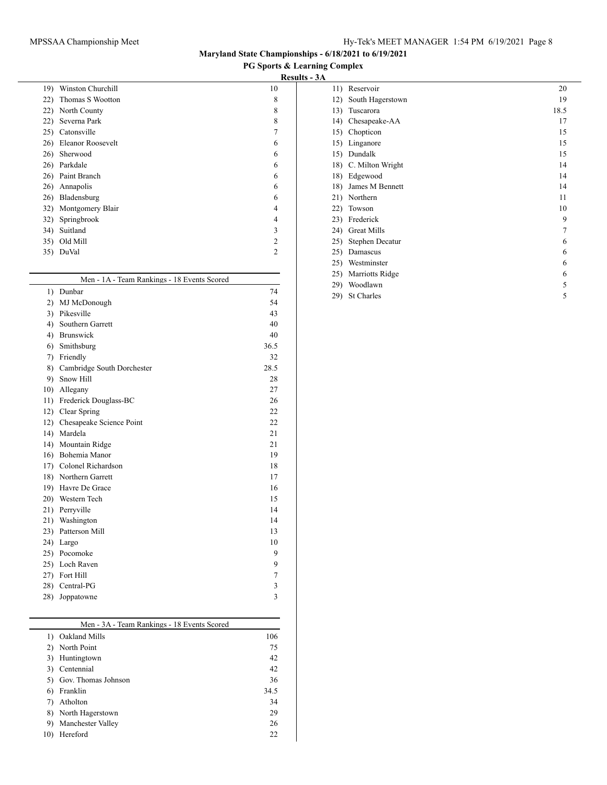**PG Sports & Learning Complex**

# **Results - 3A**

| 19) | Winston Churchill | 10             |
|-----|-------------------|----------------|
| 22) | Thomas S Wootton  | 8              |
| 22) | North County      | 8              |
| 22) | Severna Park      | 8              |
| 25) | Catonsville       | 7              |
| 26) | Eleanor Roosevelt | 6              |
| 26) | Sherwood          | 6              |
| 26) | Parkdale          | 6              |
|     | 26) Paint Branch  | 6              |
| 26) | Annapolis         | 6              |
| 26) | Bladensburg       | 6              |
| 32) | Montgomery Blair  | 4              |
| 32) | Springbrook       | 4              |
| 34) | Suitland          | 3              |
| 35) | Old Mill          | $\overline{c}$ |
| 35) | DuVal             | $\overline{c}$ |
|     |                   |                |

|              | Men - 1A - Team Rankings - 18 Events Scored |      |  |  |  |
|--------------|---------------------------------------------|------|--|--|--|
| 1)           | Dunbar                                      | 74   |  |  |  |
| $\mathbf{2}$ | MJ McDonough                                | 54   |  |  |  |
| 3)           | Pikesville                                  | 43   |  |  |  |
| 4)           | Southern Garrett                            | 40   |  |  |  |
| 4)           | Brunswick                                   | 40   |  |  |  |
| 6)           | Smithsburg                                  | 36.5 |  |  |  |
| 7)           | Friendly                                    | 32   |  |  |  |
| 8)           | Cambridge South Dorchester                  | 28.5 |  |  |  |
| 9)           | Snow Hill                                   | 28   |  |  |  |
| 10)          | Allegany                                    | 27   |  |  |  |
| 11)          | Frederick Douglass-BC                       | 26   |  |  |  |
|              | 12) Clear Spring                            | 22   |  |  |  |
| 12)          | Chesapeake Science Point                    | 22   |  |  |  |
| 14)          | Mardela                                     | 21   |  |  |  |
| 14)          | Mountain Ridge                              | 21   |  |  |  |
|              | 16) Bohemia Manor                           | 19   |  |  |  |
|              | 17) Colonel Richardson                      | 18   |  |  |  |
|              | 18) Northern Garrett                        | 17   |  |  |  |
|              | 19) Havre De Grace                          | 16   |  |  |  |
|              | 20) Western Tech                            | 15   |  |  |  |
|              | 21) Perryville                              | 14   |  |  |  |
| 21)          | Washington                                  | 14   |  |  |  |
|              | 23) Patterson Mill                          | 13   |  |  |  |
| 24)          | Largo                                       | 10   |  |  |  |
|              | 25) Pocomoke                                | 9    |  |  |  |
|              | 25) Loch Raven                              | 9    |  |  |  |
|              | 27) Fort Hill                               | 7    |  |  |  |
|              | 28) Central-PG                              | 3    |  |  |  |
| 28)          | Joppatowne                                  | 3    |  |  |  |

|     | Men - 3A - Team Rankings - 18 Events Scored |      |
|-----|---------------------------------------------|------|
| 1)  | Oakland Mills                               | 106  |
| 2)  | North Point                                 | 75   |
| 3)  | Huntingtown                                 | 42   |
| 3)  | Centennial                                  | 42   |
|     | Gov. Thomas Johnson                         | 36   |
| 6)  | Franklin                                    | 34.5 |
|     | Atholton                                    | 34   |
| 8)  | North Hagerstown                            | 29   |
| 9)  | Manchester Valley                           | 26   |
| 10) | Hereford                                    | 22   |
|     |                                             |      |

| 11) | Reservoir          | 20   |  |
|-----|--------------------|------|--|
| 12) | South Hagerstown   | 19   |  |
| 13) | Tuscarora          | 18.5 |  |
| 14) | Chesapeake-AA      | 17   |  |
| 15) | Chopticon          | 15   |  |
| 15) | Linganore          | 15   |  |
| 15) | Dundalk            | 15   |  |
| 18) | C. Milton Wright   | 14   |  |
| 18) | Edgewood           | 14   |  |
| 18) | James M Bennett    | 14   |  |
| 21) | Northern           | 11   |  |
| 22) | Towson             | 10   |  |
| 23) | Frederick          | 9    |  |
| 24) | <b>Great Mills</b> | 7    |  |
| 25) | Stephen Decatur    | 6    |  |
| 25) | Damascus           | 6    |  |
| 25) | Westminster        | 6    |  |
| 25) | Marriotts Ridge    | 6    |  |
| 29) | Woodlawn           | 5    |  |
| 29) | St Charles         | 5    |  |